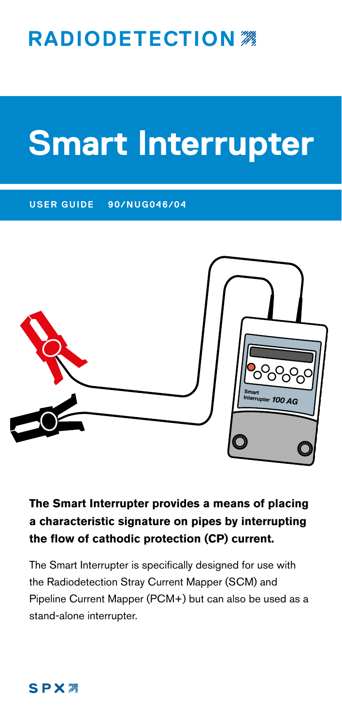## **RADIODETECTION 38**

# **Smart Interrupter**

#### **USER GUIDE 90/NUG046/04**



#### **The Smart Interrupter provides a means of placing a characteristic signature on pipes by interrupting the flow of cathodic protection (CP) current.**

The Smart Interrupter is specifically designed for use with the Radiodetection Stray Current Mapper (SCM) and Pipeline Current Mapper (PCM+) but can also be used as a stand-alone interrupter.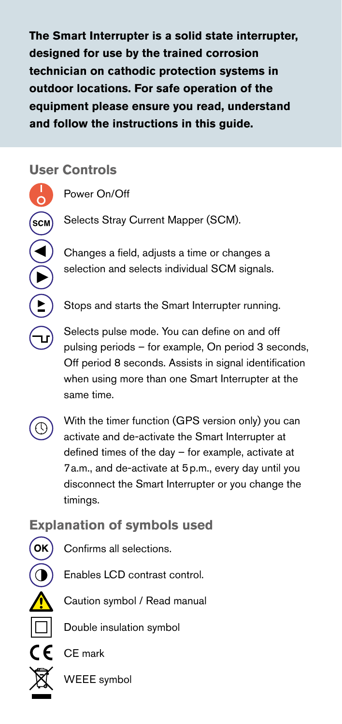**The Smart Interrupter is a solid state interrupter, designed for use by the trained corrosion technician on cathodic protection systems in outdoor locations. For safe operation of the equipment please ensure you read, understand and follow the instructions in this guide.**

#### **User Controls**

 $\mathsf{scm}\mathsf{)}$ 

Power On/Off

Selects Stray Current Mapper (SCM).

Changes a field, adjusts a time or changes a selection and selects individual SCM signals.

Stops and starts the Smart Interrupter running.

Selects pulse mode. You can define on and off pulsing periods – for example, On period 3 seconds, Off period 8 seconds. Assists in signal identification when using more than one Smart Interrupter at the same time.



With the timer function (GPS version only) you can activate and de-activate the Smart Interrupter at defined times of the day – for example, activate at 7a.m., and de-activate at 5p.m., every day until you disconnect the Smart Interrupter or you change the timings.

## **Explanation of symbols used**



Confirms all selections.

Enables LCD contrast control.

Caution symbol / Read manual

Double insulation symbol

CE mark

WEEE symbol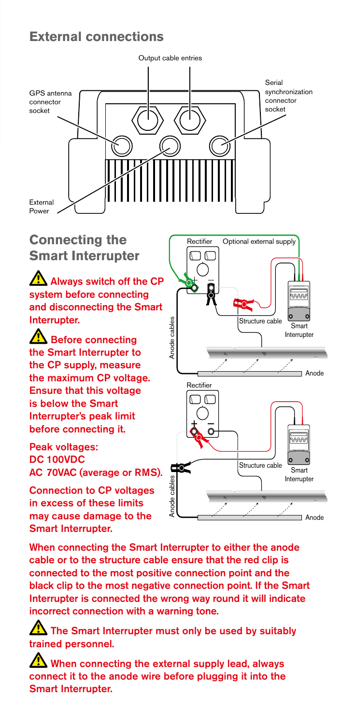#### **External connections**



**Smart Interrupter**

Always switch off the CP system before connecting and disconnecting the Smart Interrupter.

**A** Before connecting the Smart Interrupter to the CP supply, measure the maximum CP voltage. Ensure that this voltage is below the Smart Interrupter's peak limit before connecting it.

Peak voltages: DC 100VDC AC 70VAC (average or RMS).

Connection to CP voltages in excess of these limits may cause damage to the Smart Interrupter.

**Connecting the Connecting the** Rectifier Ñ ΙC Anode cables Structure cable Anode cables .<br>Smart Interrupter Anode Rectifier ገጠ Structure cable  $rac{1}{2}$ Smart cables Interrupter Anode cables Anode Anode

When connecting the Smart Interrupter to either the anode cable or to the structure cable ensure that the red clip is connected to the most positive connection point and the black clip to the most negative connection point. If the Smart Interrupter is connected the wrong way round it will indicate incorrect connection with a warning tone.

The Smart Interrupter must only be used by suitably trained personnel.

When connecting the external supply lead, always connect it to the anode wire before plugging it into the Smart Interrupter.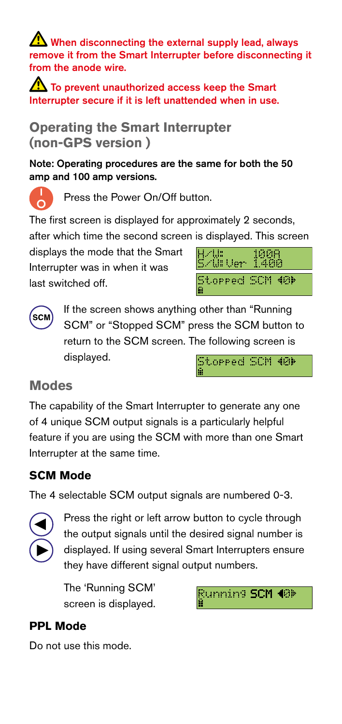When disconnecting the external supply lead, always remove it from the Smart Interrupter before disconnecting it from the anode wire.

To prevent unauthorized access keep the Smart Interrupter secure if it is left unattended when in use.

**Operating the Smart Interrupter (non-GPS version )**

Note: Operating procedures are the same for both the 50 amp and 100 amp versions.

Press the Power On/Off button.

The first screen is displayed for approximately 2 seconds,

after which time the second screen is displayed. This screen

displays the mode that the Smart Interrupter was in when it was last switched off.





If the screen shows anything other than "Running SCM" or "Stopped SCM" press the SCM button to return to the SCM screen. The following screen is displayed. Stopped SCM 40

## **Modes**

The capability of the Smart Interrupter to generate any one of 4 unique SCM output signals is a particularly helpful feature if you are using the SCM with more than one Smart Interrupter at the same time.

## **SCM Mode**

The 4 selectable SCM output signals are numbered 0-3.



Press the right or left arrow button to cycle through the output signals until the desired signal number is displayed. If using several Smart Interrupters ensure they have different signal output numbers.

The 'Running SCM' screen is displayed.



#### **PPL Mode**

Do not use this mode.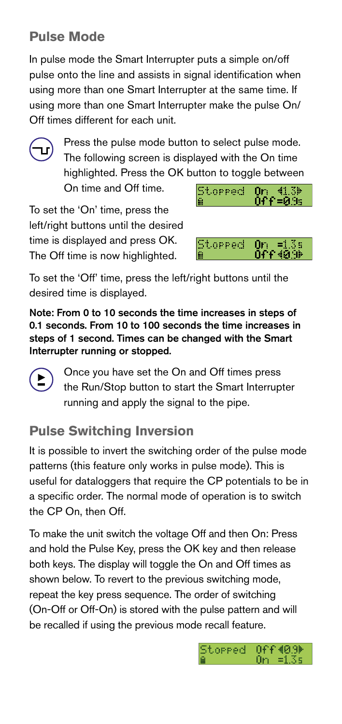## **Pulse Mode**

In pulse mode the Smart Interrupter puts a simple on/off pulse onto the line and assists in signal identification when using more than one Smart Interrupter at the same time. If using more than one Smart Interrupter make the pulse On/ Off times different for each unit.



Press the pulse mode button to select pulse mode. The following screen is displayed with the On time highlighted. Press the OK button to toggle between

On time and Off time.



To set the 'On' time, press the left/right buttons until the desired time is displayed and press OK. The Off time is now highlighted.



To set the 'Off' time, press the left/right buttons until the desired time is displayed.

Note: From 0 to 10 seconds the time increases in steps of 0.1 seconds. From 10 to 100 seconds the time increases in steps of 1 second. Times can be changed with the Smart Interrupter running or stopped.

> Once you have set the On and Off times press the Run/Stop button to start the Smart Interrupter running and apply the signal to the pipe.

## **Pulse Switching Inversion**

It is possible to invert the switching order of the pulse mode patterns (this feature only works in pulse mode). This is useful for dataloggers that require the CP potentials to be in a specific order. The normal mode of operation is to switch the CP On, then Off.

To make the unit switch the voltage Off and then On: Press and hold the Pulse Key, press the OK key and then release both keys. The display will toggle the On and Off times as shown below. To revert to the previous switching mode, repeat the key press sequence. The order of switching (On-Off or Off-On) is stored with the pulse pattern and will be recalled if using the previous mode recall feature.

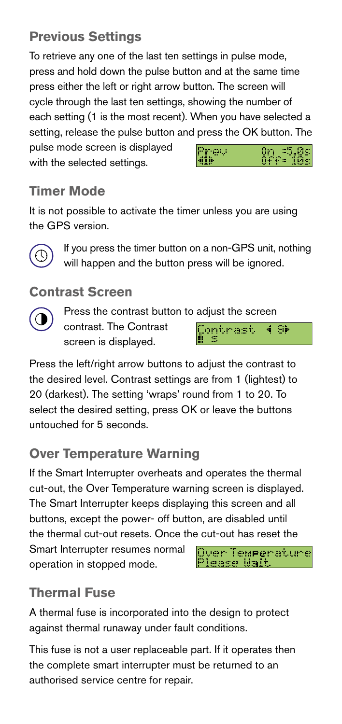## **Previous Settings**

To retrieve any one of the last ten settings in pulse mode, press and hold down the pulse button and at the same time press either the left or right arrow button. The screen will cycle through the last ten settings, showing the number of each setting (1 is the most recent). When you have selected a setting, release the pulse button and press the OK button. The pulse mode screen is displayed 0n =5.0s<br>Off= 10s Preu with the selected settings.

## **Timer Mode**

It is not possible to activate the timer unless you are using the GPS version.



If you press the timer button on a non-GPS unit, nothing will happen and the button press will be ignored.

#### **Contrast Screen**



Press the contrast button to adjust the screen contrast. The Contrast Contrast  $4.9<sub>b</sub>$ screen is displayed.

Press the left/right arrow buttons to adjust the contrast to the desired level. Contrast settings are from 1 (lightest) to 20 (darkest). The setting 'wraps' round from 1 to 20. To select the desired setting, press OK or leave the buttons untouched for 5 seconds.

## **Over Temperature Warning**

If the Smart Interrupter overheats and operates the thermal cut-out, the Over Temperature warning screen is displayed. The Smart Interrupter keeps displaying this screen and all buttons, except the power- off button, are disabled until the thermal cut-out resets. Once the cut-out has reset the Smart Interrupter resumes normal

operation in stopped mode.



## **Thermal Fuse**

A thermal fuse is incorporated into the design to protect against thermal runaway under fault conditions.

This fuse is not a user replaceable part. If it operates then the complete smart interrupter must be returned to an authorised service centre for repair.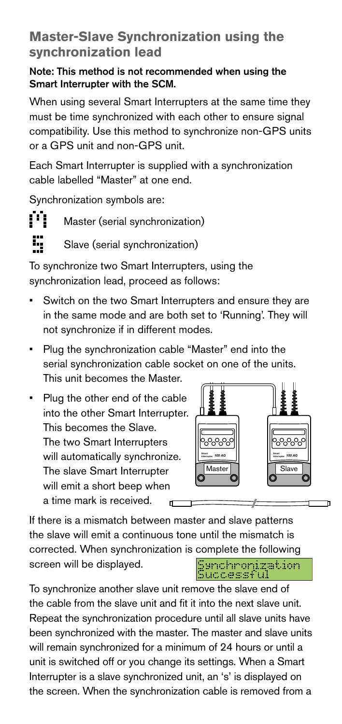#### **Master-Slave Synchronization using the synchronization lead**

#### Note: This method is not recommended when using the Smart Interrupter with the SCM.

When using several Smart Interrupters at the same time they must be time synchronized with each other to ensure signal compatibility. Use this method to synchronize non-GPS units or a GPS unit and non-GPS unit.

Each Smart Interrupter is supplied with a synchronization cable labelled "Master" at one end.

Synchronization symbols are:

ŗц

Master (serial synchronization)

Slave (serial synchronization)

To synchronize two Smart Interrupters, using the synchronization lead, proceed as follows:

- Switch on the two Smart Interrupters and ensure they are in the same mode and are both set to 'Running'. They will not synchronize if in different modes.
- Plug the synchronization cable "Master" end into the serial synchronization cable socket on one of the units. This unit becomes the Master.

• Plug the other end of the cable into the other Smart Interrupter. This becomes the Slave. The two Smart Interrupters will automatically synchronize. The slave Smart Interrupter will emit a short beep when a time mark is received.



If there is a mismatch between master and slave patterns the slave will emit a continuous tone until the mismatch is corrected. When synchronization is complete the following Synchronization<br>Successful screen will be displayed.

To synchronize another slave unit remove the slave end of the cable from the slave unit and fit it into the next slave unit. Repeat the synchronization procedure until all slave units have been synchronized with the master. The master and slave units will remain synchronized for a minimum of 24 hours or until a unit is switched off or you change its settings. When a Smart Interrupter is a slave synchronized unit, an 's' is displayed on the screen. When the synchronization cable is removed from a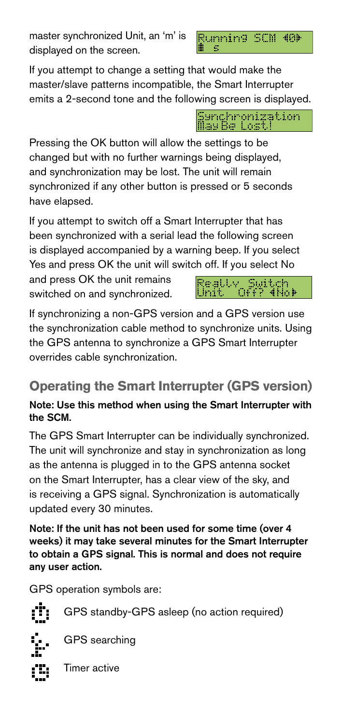master synchronized Unit, an 'm' is displayed on the screen.



If you attempt to change a setting that would make the master/slave patterns incompatible, the Smart Interrupter emits a 2-second tone and the following screen is displayed.



Pressing the OK button will allow the settings to be changed but with no further warnings being displayed, and synchronization may be lost. The unit will remain synchronized if any other button is pressed or 5 seconds have elapsed.

If you attempt to switch off a Smart Interrupter that has been synchronized with a serial lead the following screen is displayed accompanied by a warning beep. If you select Yes and press OK the unit will switch off. If you select No

and press OK the unit remains switched on and synchronized.



If synchronizing a non-GPS version and a GPS version use the synchronization cable method to synchronize units. Using the GPS antenna to synchronize a GPS Smart Interrupter overrides cable synchronization.

## **Operating the Smart Interrupter (GPS version)**

#### Note: Use this method when using the Smart Interrupter with the SCM.

The GPS Smart Interrupter can be individually synchronized. The unit will synchronize and stay in synchronization as long as the antenna is plugged in to the GPS antenna socket on the Smart Interrupter, has a clear view of the sky, and is receiving a GPS signal. Synchronization is automatically updated every 30 minutes.

Note: If the unit has not been used for some time (over 4 weeks) it may take several minutes for the Smart Interrupter to obtain a GPS signal. This is normal and does not require any user action.

GPS operation symbols are:



GPS standby-GPS asleep (no action required)



GPS searching

Timer active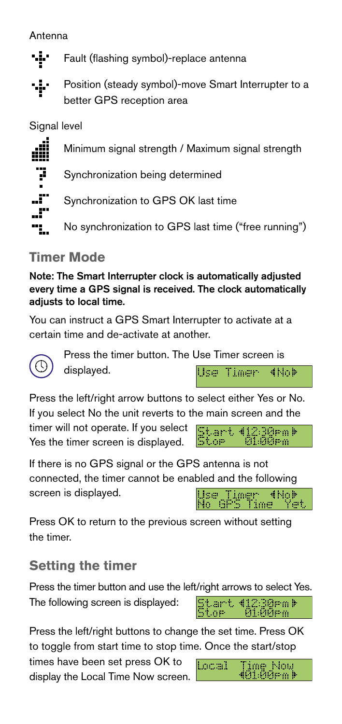- vį, Fault (flashing symbol)-replace antenna
- Position (steady symbol)-move Smart Interrupter to a ъķг better GPS reception area

#### Signal level

7

"آ\_

Minimum signal strength / Maximum signal strength

Synchronization being determined

Synchronization to GPS OK last time

No synchronization to GPS last time ("free running")

## **Timer Mode**

Note: The Smart Interrupter clock is automatically adjusted every time a GPS signal is received. The clock automatically adjusts to local time.

You can instruct a GPS Smart Interrupter to activate at a certain time and de-activate at another.



Press the timer button. The Use Timer screen is

displayed.

Press the left/right arrow buttons to select either Yes or No. If you select No the unit reverts to the main screen and the

timer will not operate. If you select Yes the timer screen is displayed.

St.art. 412:30eml Stor I 01:00em

4No)

Use Timer

If there is no GPS signal or the GPS antenna is not connected, the timer cannot be enabled and the following screen is displayed. Use Timer (No) No GPS Time Yet

Press OK to return to the previous screen without setting the timer.

## **Setting the timer**

Press the timer button and use the left/right arrows to select Yes. Start (12:30em)<br>Stor 01:00em The following screen is displayed:

Press the left/right buttons to change the set time. Press OK to toggle from start time to stop time. Once the start/stop

times have been set press OK to display the Local Time Now screen.

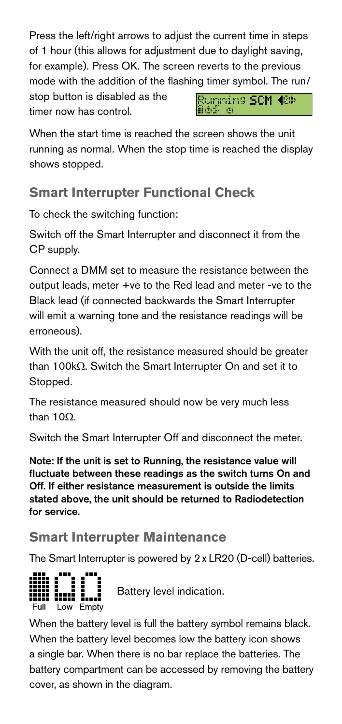Press the left/right arrows to adjust the current time in steps of 1 hour (this allows for adjustment due to daylight saving, for example). Press OK. The screen reverts to the previous mode with the addition of the flashing timer symbol. The run/

stop button is disabled as the timer now has control.

Running SCM 40M iof o

When the start time is reached the screen shows the unit running as normal. When the stop time is reached the display shows stopped.

## **Smart Interrupter Functional Check**

To check the switching function:

Switch off the Smart Interrupter and disconnect it from the CP supply.

Connect a DMM set to measure the resistance between the output leads, meter +ve to the Red lead and meter -ve to the Black lead (if connected backwards the Smart Interrupter will emit a warning tone and the resistance readings will be erroneous).

With the unit off, the resistance measured should be greater than 100kΩ. Switch the Smart Interrupter On and set it to Stopped.

The resistance measured should now be very much less than 10Ω.

Switch the Smart Interrupter Off and disconnect the meter.

Note: If the unit is set to Running, the resistance value will fluctuate between these readings as the switch turns On and Off. If either resistance measurement is outside the limits stated above, the unit should be returned to Radiodetection for service.

## **Smart Interrupter Maintenance**

The Smart Interrupter is powered by 2 x LR20 (D-cell) batteries.



Battery level indication.

When the battery level is full the battery symbol remains black. When the battery level becomes low the battery icon shows a single bar. When there is no bar replace the batteries. The battery compartment can be accessed by removing the battery cover, as shown in the diagram.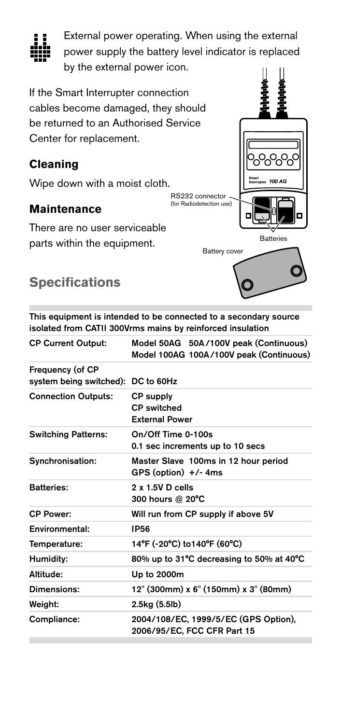

External power operating. When using the external power supply the battery level indicator is replaced by the external power icon.

If the Smart Interrupter connection cables become damaged, they should be returned to an Authorised Service Center for replacement.

#### **Cleaning**

Wipe down with a moist cloth.

#### **Maintenance**

There are no user serviceable parts within the equipment.

## **Specifications**

This equipment is intended to be connected to a secondary source isolated from CATII 300Vrms mains by reinforced insulation

**Batteries** 

100 AG

Battery cover

RS232 connector (for Radiodetection use)

| <b>CP Current Output:</b>                              | Model 50AG 50A/100V peak (Continuous)<br>Model 100AG 100A/100V peak (Continuous) |
|--------------------------------------------------------|----------------------------------------------------------------------------------|
| Frequency (of CP<br>system being switched): DC to 60Hz |                                                                                  |
| <b>Connection Outputs:</b>                             | <b>CP supply</b><br><b>CP</b> switched<br><b>External Power</b>                  |
| <b>Switching Patterns:</b>                             | On/Off Time 0-100s<br>0.1 sec increments up to 10 secs                           |
| Synchronisation:                                       | Master Slave 100ms in 12 hour period<br>$GPS$ (option) $+/-$ 4ms                 |
| <b>Batteries:</b>                                      | $2 \times 1.5V$ D cells<br>300 hours @ 20°C                                      |
| <b>CP Power:</b>                                       | Will run from CP supply if above 5V                                              |
| Environmental:                                         | <b>IP56</b>                                                                      |
| Temperature:                                           | 14°F (-20°C) to 140°F (60°C)                                                     |
| Humidity:                                              | 80% up to 31°C decreasing to 50% at 40°C                                         |
| Altitude:                                              | Up to 2000m                                                                      |
| Dimensions:                                            | 12" (300mm) x 6" (150mm) x 3" (80mm)                                             |
| <b>Weight:</b>                                         | 2.5kg (5.5lb)                                                                    |
| Compliance:                                            | 2004/108/EC, 1999/5/EC (GPS Option),<br>2006/95/EC, FCC CFR Part 15              |